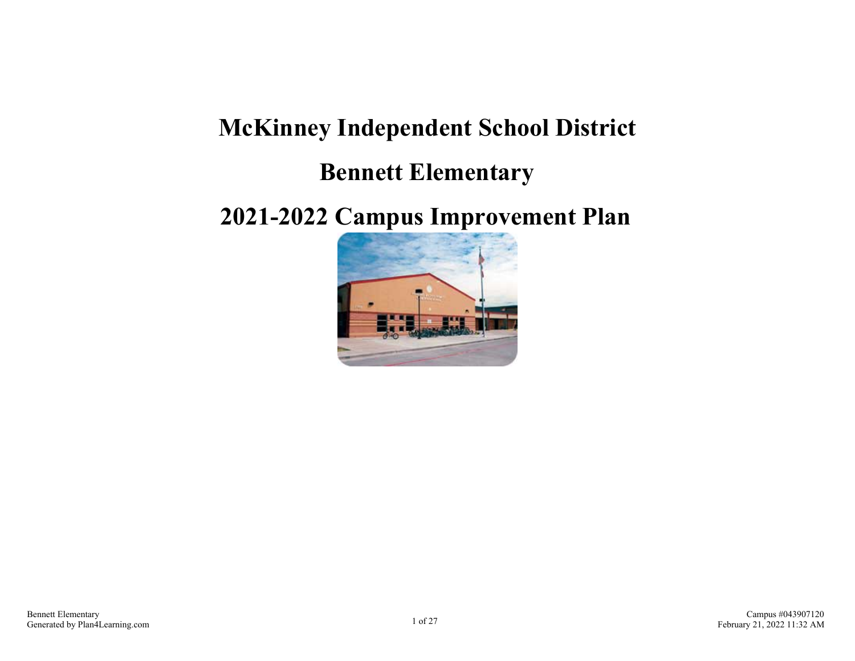# **McKinney Independent School District Bennett Elementary**

## **2021-2022 Campus Improvement Plan**

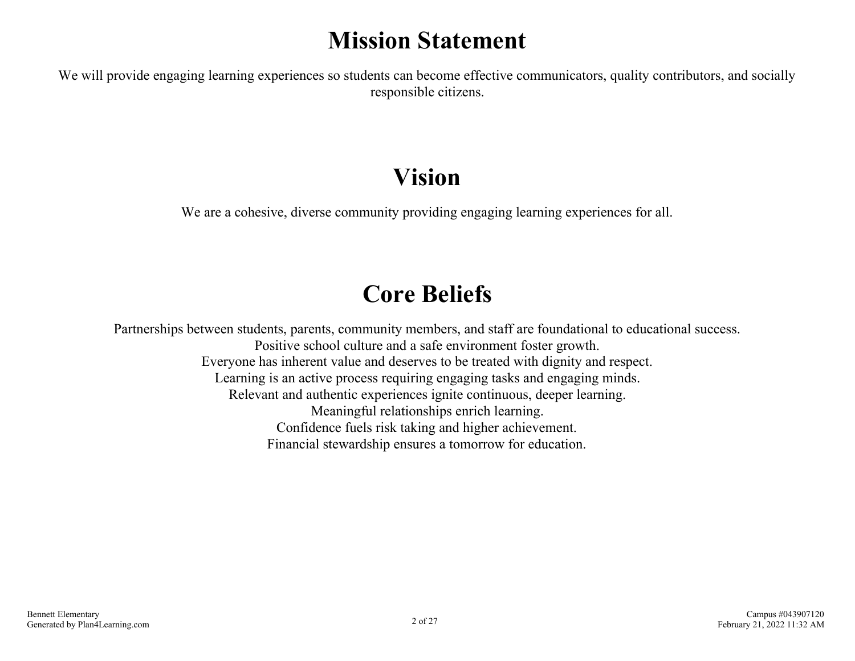## **Mission Statement**

We will provide engaging learning experiences so students can become effective communicators, quality contributors, and socially responsible citizens.

## **Vision**

We are a cohesive, diverse community providing engaging learning experiences for all.

## **Core Beliefs**

Partnerships between students, parents, community members, and staff are foundational to educational success. Positive school culture and a safe environment foster growth. Everyone has inherent value and deserves to be treated with dignity and respect. Learning is an active process requiring engaging tasks and engaging minds. Relevant and authentic experiences ignite continuous, deeper learning. Meaningful relationships enrich learning. Confidence fuels risk taking and higher achievement. Financial stewardship ensures a tomorrow for education.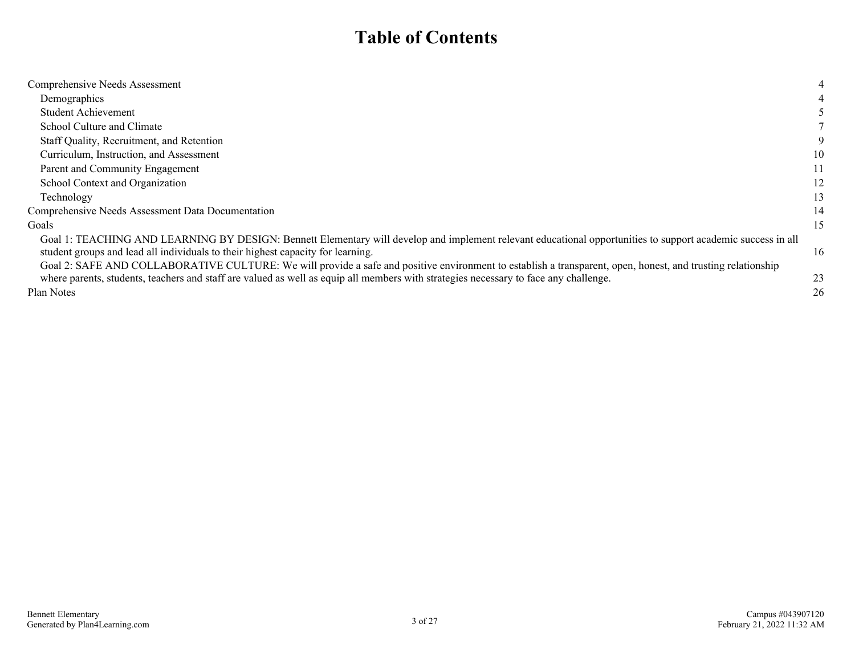## **Table of Contents**

| Comprehensive Needs Assessment                                                                                                                               | 4  |
|--------------------------------------------------------------------------------------------------------------------------------------------------------------|----|
| Demographics                                                                                                                                                 |    |
| <b>Student Achievement</b>                                                                                                                                   |    |
| School Culture and Climate                                                                                                                                   |    |
| Staff Quality, Recruitment, and Retention                                                                                                                    | 9  |
| Curriculum, Instruction, and Assessment                                                                                                                      | 10 |
| Parent and Community Engagement                                                                                                                              | 11 |
| School Context and Organization                                                                                                                              | 12 |
| Technology                                                                                                                                                   | 13 |
| Comprehensive Needs Assessment Data Documentation                                                                                                            | 14 |
| Goals                                                                                                                                                        | 15 |
| Goal 1: TEACHING AND LEARNING BY DESIGN: Bennett Elementary will develop and implement relevant educational opportunities to support academic success in all |    |
| student groups and lead all individuals to their highest capacity for learning.                                                                              | 16 |
| Goal 2: SAFE AND COLLABORATIVE CULTURE: We will provide a safe and positive environment to establish a transparent, open, honest, and trusting relationship  |    |
| where parents, students, teachers and staff are valued as well as equip all members with strategies necessary to face any challenge.                         | 23 |
| Plan Notes                                                                                                                                                   | 26 |
|                                                                                                                                                              |    |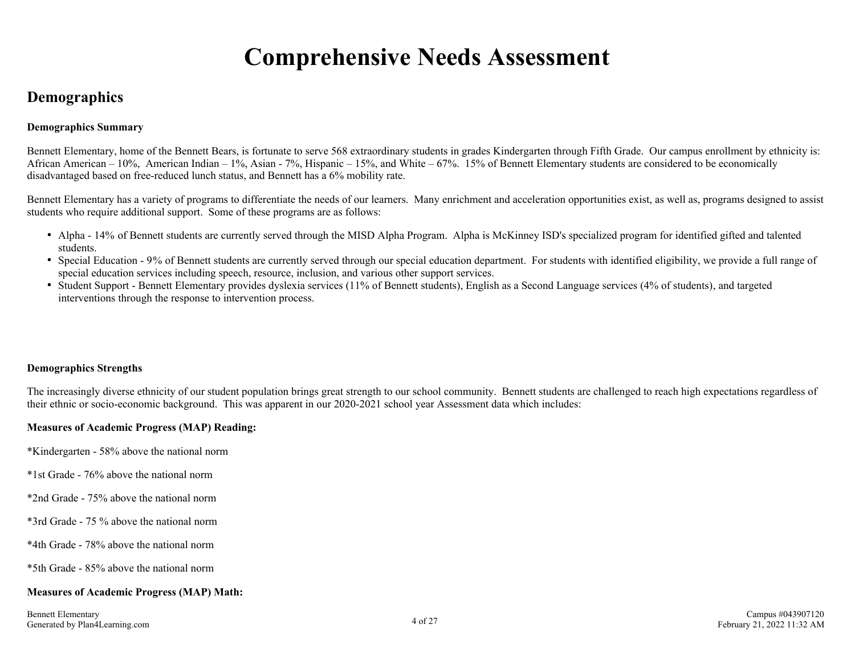## **Comprehensive Needs Assessment**

### <span id="page-3-0"></span>**Demographics**

#### **Demographics Summary**

Bennett Elementary, home of the Bennett Bears, is fortunate to serve 568 extraordinary students in grades Kindergarten through Fifth Grade. Our campus enrollment by ethnicity is: African American – 10%, American Indian – 1%, Asian - 7%, Hispanic – 15%, and White – 67%. 15% of Bennett Elementary students are considered to be economically disadvantaged based on free-reduced lunch status, and Bennett has a 6% mobility rate.

Bennett Elementary has a variety of programs to differentiate the needs of our learners. Many enrichment and acceleration opportunities exist, as well as, programs designed to assist students who require additional support. Some of these programs are as follows:

- Alpha 14% of Bennett students are currently served through the MISD Alpha Program. Alpha is McKinney ISD's specialized program for identified gifted and talented students.
- Special Education 9% of Bennett students are currently served through our special education department. For students with identified eligibility, we provide a full range of special education services including speech, resource, inclusion, and various other support services.
- Student Support Bennett Elementary provides dyslexia services (11% of Bennett students), English as a Second Language services (4% of students), and targeted interventions through the response to intervention process.

#### **Demographics Strengths**

The increasingly diverse ethnicity of our student population brings great strength to our school community. Bennett students are challenged to reach high expectations regardless of their ethnic or socio-economic background. This was apparent in our 2020-2021 school year Assessment data which includes:

#### **Measures of Academic Progress (MAP) Reading:**

- \*Kindergarten 58% above the national norm
- \*1st Grade 76% above the national norm
- \*2nd Grade 75% above the national norm
- \*3rd Grade 75 % above the national norm
- \*4th Grade 78% above the national norm
- \*5th Grade 85% above the national norm

#### **Measures of Academic Progress (MAP) Math:**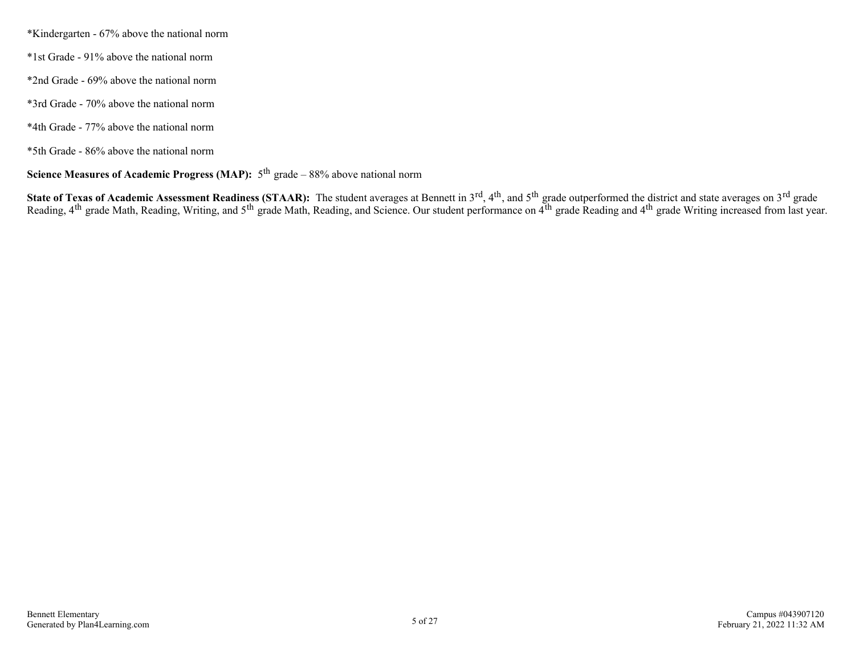\*Kindergarten - 67% above the national norm

- \*1st Grade 91% above the national norm
- \*2nd Grade 69% above the national norm
- \*3rd Grade 70% above the national norm
- \*4th Grade 77% above the national norm
- \*5th Grade 86% above the national norm

### **Science Measures of Academic Progress (MAP):**  $5^{th}$  grade – 88% above national norm

**State of Texas of Academic Assessment Readiness (STAAR):** The student averages at Bennett in 3<sup>rd</sup>, 4<sup>th</sup>, and 5<sup>th</sup> grade outperformed the district and state averages on 3<sup>rd</sup> grade Reading,  $4<sup>th</sup>$  grade Math, Reading, Writing, and 5<sup>th</sup> grade Math, Reading, and Science. Our student performance on  $4<sup>th</sup>$  grade Reading and  $4<sup>th</sup>$  grade Writing increased from last year.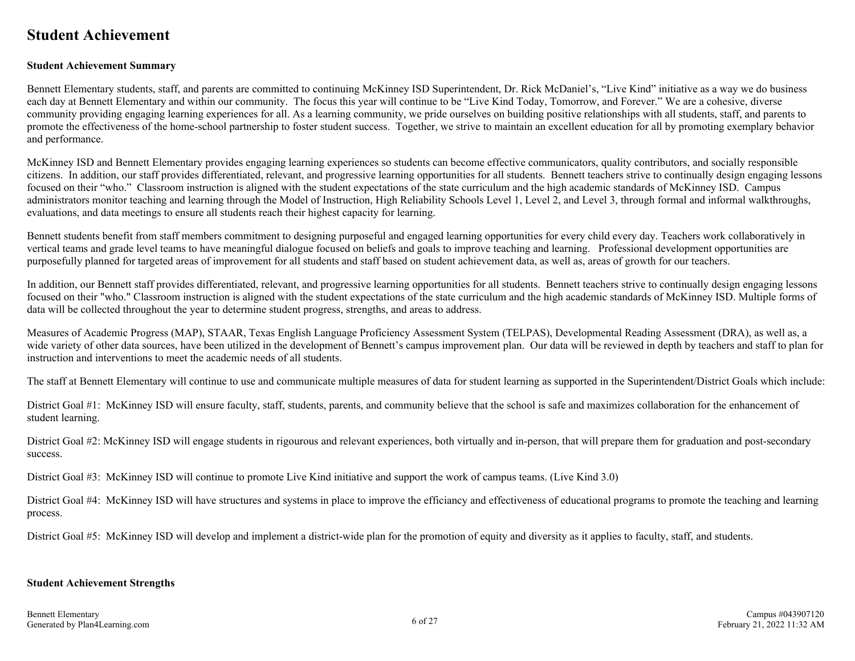### <span id="page-5-0"></span>**Student Achievement**

#### **Student Achievement Summary**

Bennett Elementary students, staff, and parents are committed to continuing McKinney ISD Superintendent, Dr. Rick McDaniel's, "Live Kind" initiative as a way we do business each day at Bennett Elementary and within our community. The focus this year will continue to be "Live Kind Today, Tomorrow, and Forever." We are a cohesive, diverse community providing engaging learning experiences for all. As a learning community, we pride ourselves on building positive relationships with all students, staff, and parents to promote the effectiveness of the home-school partnership to foster student success. Together, we strive to maintain an excellent education for all by promoting exemplary behavior and performance.

McKinney ISD and Bennett Elementary provides engaging learning experiences so students can become effective communicators, quality contributors, and socially responsible citizens. In addition, our staff provides differentiated, relevant, and progressive learning opportunities for all students. Bennett teachers strive to continually design engaging lessons focused on their "who." Classroom instruction is aligned with the student expectations of the state curriculum and the high academic standards of McKinney ISD. Campus administrators monitor teaching and learning through the Model of Instruction, High Reliability Schools Level 1, Level 2, and Level 3, through formal and informal walkthroughs, evaluations, and data meetings to ensure all students reach their highest capacity for learning.

Bennett students benefit from staff members commitment to designing purposeful and engaged learning opportunities for every child every day. Teachers work collaboratively in vertical teams and grade level teams to have meaningful dialogue focused on beliefs and goals to improve teaching and learning. Professional development opportunities are purposefully planned for targeted areas of improvement for all students and staff based on student achievement data, as well as, areas of growth for our teachers.

In addition, our Bennett staff provides differentiated, relevant, and progressive learning opportunities for all students. Bennett teachers strive to continually design engaging lessons focused on their "who." Classroom instruction is aligned with the student expectations of the state curriculum and the high academic standards of McKinney ISD. Multiple forms of data will be collected throughout the year to determine student progress, strengths, and areas to address.

Measures of Academic Progress (MAP), STAAR, Texas English Language Proficiency Assessment System (TELPAS), Developmental Reading Assessment (DRA), as well as, a wide variety of other data sources, have been utilized in the development of Bennett's campus improvement plan. Our data will be reviewed in depth by teachers and staff to plan for instruction and interventions to meet the academic needs of all students.

The staff at Bennett Elementary will continue to use and communicate multiple measures of data for student learning as supported in the Superintendent/District Goals which include:

District Goal #1: McKinney ISD will ensure faculty, staff, students, parents, and community believe that the school is safe and maximizes collaboration for the enhancement of student learning.

District Goal #2: McKinney ISD will engage students in rigourous and relevant experiences, both virtually and in-person, that will prepare them for graduation and post-secondary success.

District Goal #3: McKinney ISD will continue to promote Live Kind initiative and support the work of campus teams. (Live Kind 3.0)

District Goal #4: McKinney ISD will have structures and systems in place to improve the efficiancy and effectiveness of educational programs to promote the teaching and learning process.

District Goal #5: McKinney ISD will develop and implement a district-wide plan for the promotion of equity and diversity as it applies to faculty, staff, and students.

#### **Student Achievement Strengths**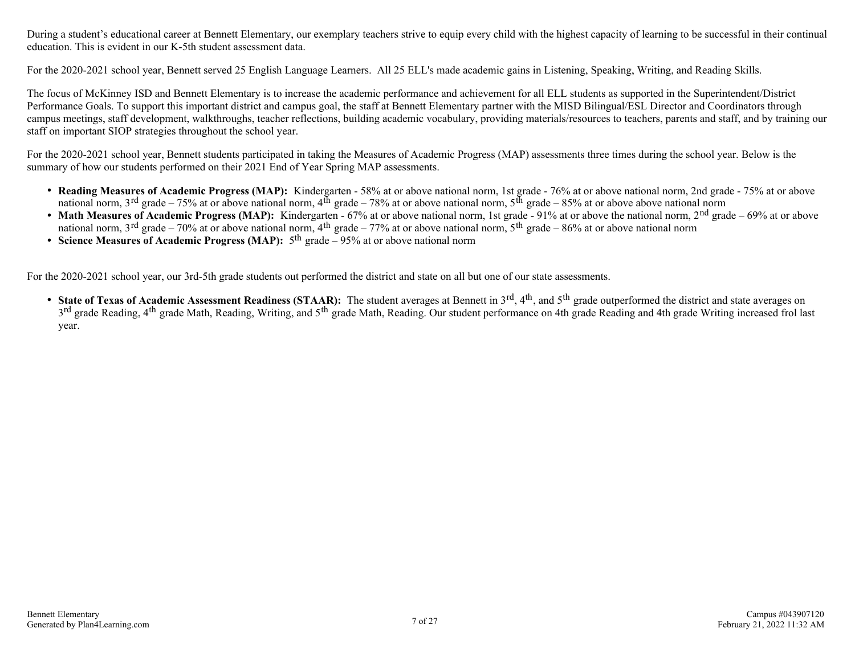During a student's educational career at Bennett Elementary, our exemplary teachers strive to equip every child with the highest capacity of learning to be successful in their continual education. This is evident in our K-5th student assessment data.

For the 2020-2021 school year, Bennett served 25 English Language Learners. All 25 ELL's made academic gains in Listening, Speaking, Writing, and Reading Skills.

The focus of McKinney ISD and Bennett Elementary is to increase the academic performance and achievement for all ELL students as supported in the Superintendent/District Performance Goals. To support this important district and campus goal, the staff at Bennett Elementary partner with the MISD Bilingual/ESL Director and Coordinators through campus meetings, staff development, walkthroughs, teacher reflections, building academic vocabulary, providing materials/resources to teachers, parents and staff, and by training our staff on important SIOP strategies throughout the school year.

For the 2020-2021 school year, Bennett students participated in taking the Measures of Academic Progress (MAP) assessments three times during the school year. Below is the summary of how our students performed on their 2021 End of Year Spring MAP assessments.

- Reading Measures of Academic Progress (MAP): Kindergarten 58% at or above national norm, 1st grade 76% at or above national norm, 2nd grade 75% at or above national norm,  $3^{\text{rd}}$  grade – 75% at or above national norm,  $4^{\text{th}}$  grade – 78% at or above national norm,  $5^{\text{th}}$  grade – 85% at or above above national norm
- Math Measures of Academic Progress (MAP): Kindergarten 67% at or above national norm, 1st grade 91% at or above the national norm, 2<sup>nd</sup> grade 69% at or above national norm,  $3^{\text{rd}}$  grade – 70% at or above national norm,  $4^{\text{th}}$  grade – 77% at or above national norm,  $5^{\text{th}}$  grade – 86% at or above national norm
- **Science Measures of Academic Progress (MAP):** 5 th grade 95% at or above national norm

For the 2020-2021 school year, our 3rd-5th grade students out performed the district and state on all but one of our state assessments.

• State of Texas of Academic Assessment Readiness (STAAR): The student averages at Bennett in 3<sup>rd</sup>, 4<sup>th</sup>, and 5<sup>th</sup> grade outperformed the district and state averages on  $3<sup>rd</sup>$  grade Reading, 4<sup>th</sup> grade Math, Reading, Writing, and 5<sup>th</sup> grade Math, Reading. Our student performance on 4th grade Reading and 4th grade Writing increased frol last year.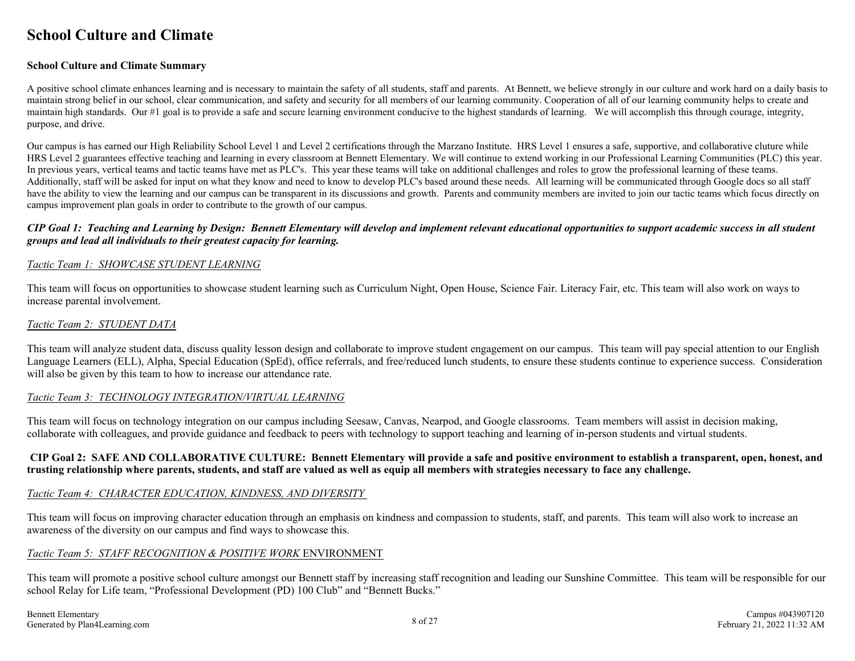### <span id="page-7-0"></span>**School Culture and Climate**

#### **School Culture and Climate Summary**

A positive school climate enhances learning and is necessary to maintain the safety of all students, staff and parents. At Bennett, we believe strongly in our culture and work hard on a daily basis to maintain strong belief in our school, clear communication, and safety and security for all members of our learning community. Cooperation of all of our learning community helps to create and maintain high standards. Our #1 goal is to provide a safe and secure learning environment conducive to the highest standards of learning. We will accomplish this through courage, integrity, purpose, and drive.

Our campus is has earned our High Reliability School Level 1 and Level 2 certifications through the Marzano Institute. HRS Level 1 ensures a safe, supportive, and collaborative cluture while HRS Level 2 guarantees effective teaching and learning in every classroom at Bennett Elementary. We will continue to extend working in our Professional Learning Communities (PLC) this year. In previous years, vertical teams and tactic teams have met as PLC's. This year these teams will take on additional challenges and roles to grow the professional learning of these teams. Additionally, staff will be asked for input on what they know and need to know to develop PLC's based around these needs. All learning will be communicated through Google docs so all staff have the ability to view the learning and our campus can be transparent in its discussions and growth. Parents and community members are invited to join our tactic teams which focus directly on campus improvement plan goals in order to contribute to the growth of our campus.

#### *CIP Goal 1: Teaching and Learning by Design: Bennett Elementary will develop and implement relevant educational opportunities to support academic success in all student groups and lead all individuals to their greatest capacity for learning.*

#### *Tactic Team 1: SHOWCASE STUDENT LEARNING*

This team will focus on opportunities to showcase student learning such as Curriculum Night, Open House, Science Fair. Literacy Fair, etc. This team will also work on ways to increase parental involvement.

#### *Tactic Team 2: STUDENT DATA*

This team will analyze student data, discuss quality lesson design and collaborate to improve student engagement on our campus. This team will pay special attention to our English Language Learners (ELL), Alpha, Special Education (SpEd), office referrals, and free/reduced lunch students, to ensure these students continue to experience success. Consideration will also be given by this team to how to increase our attendance rate.

#### *Tactic Team 3: TECHNOLOGY INTEGRATION/VIRTUAL LEARNING*

This team will focus on technology integration on our campus including Seesaw, Canvas, Nearpod, and Google classrooms. Team members will assist in decision making, collaborate with colleagues, and provide guidance and feedback to peers with technology to support teaching and learning of in-person students and virtual students.

#### **CIP Goal 2: SAFE AND COLLABORATIVE CULTURE: Bennett Elementary will provide a safe and positive environment to establish a transparent, open, honest, and trusting relationship where parents, students, and staff are valued as well as equip all members with strategies necessary to face any challenge.**

#### *Tactic Team 4: CHARACTER EDUCATION, KINDNESS, AND DIVERSITY*

This team will focus on improving character education through an emphasis on kindness and compassion to students, staff, and parents. This team will also work to increase an awareness of the diversity on our campus and find ways to showcase this.

#### *Tactic Team 5: STAFF RECOGNITION & POSITIVE WORK* ENVIRONMENT

This team will promote a positive school culture amongst our Bennett staff by increasing staff recognition and leading our Sunshine Committee. This team will be responsible for our school Relay for Life team, "Professional Development (PD) 100 Club" and "Bennett Bucks."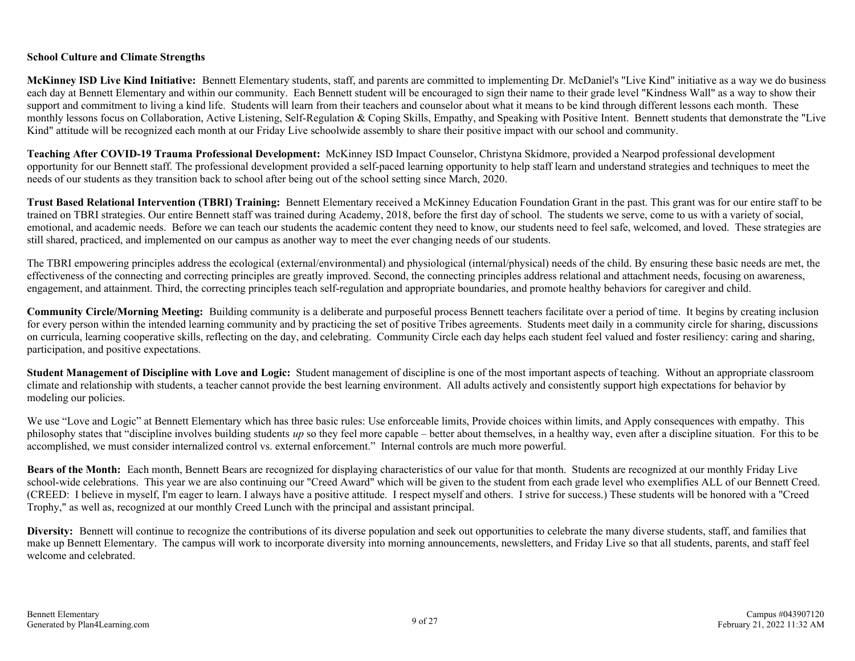#### **School Culture and Climate Strengths**

**McKinney ISD Live Kind Initiative:** Bennett Elementary students, staff, and parents are committed to implementing Dr. McDaniel's "Live Kind" initiative as a way we do business each day at Bennett Elementary and within our community. Each Bennett student will be encouraged to sign their name to their grade level "Kindness Wall" as a way to show their support and commitment to living a kind life. Students will learn from their teachers and counselor about what it means to be kind through different lessons each month. These monthly lessons focus on Collaboration, Active Listening, Self-Regulation & Coping Skills, Empathy, and Speaking with Positive Intent. Bennett students that demonstrate the "Live Kind" attitude will be recognized each month at our Friday Live schoolwide assembly to share their positive impact with our school and community.

**Teaching After COVID-19 Trauma Professional Development:** McKinney ISD Impact Counselor, Christyna Skidmore, provided a Nearpod professional development opportunity for our Bennett staff. The professional development provided a self-paced learning opportunity to help staff learn and understand strategies and techniques to meet the needs of our students as they transition back to school after being out of the school setting since March, 2020.

**Trust Based Relational Intervention (TBRI) Training:** Bennett Elementary received a McKinney Education Foundation Grant in the past. This grant was for our entire staff to be trained on TBRI strategies. Our entire Bennett staff was trained during Academy, 2018, before the first day of school. The students we serve, come to us with a variety of social, emotional, and academic needs. Before we can teach our students the academic content they need to know, our students need to feel safe, welcomed, and loved. These strategies are still shared, practiced, and implemented on our campus as another way to meet the ever changing needs of our students.

The TBRI empowering principles address the ecological (external/environmental) and physiological (internal/physical) needs of the child. By ensuring these basic needs are met, the effectiveness of the connecting and correcting principles are greatly improved. Second, the connecting principles address relational and attachment needs, focusing on awareness, engagement, and attainment. Third, the correcting principles teach self-regulation and appropriate boundaries, and promote healthy behaviors for caregiver and child.

**Community Circle/Morning Meeting:** Building community is a deliberate and purposeful process Bennett teachers facilitate over a period of time. It begins by creating inclusion for every person within the intended learning community and by practicing the set of positive Tribes agreements. Students meet daily in a community circle for sharing, discussions on curricula, learning cooperative skills, reflecting on the day, and celebrating. Community Circle each day helps each student feel valued and foster resiliency: caring and sharing, participation, and positive expectations.

**Student Management of Discipline with Love and Logic:** Student management of discipline is one of the most important aspects of teaching. Without an appropriate classroom climate and relationship with students, a teacher cannot provide the best learning environment. All adults actively and consistently support high expectations for behavior by modeling our policies.

We use "Love and Logic" at Bennett Elementary which has three basic rules: Use enforceable limits, Provide choices within limits, and Apply consequences with empathy. This philosophy states that "discipline involves building students *up* so they feel more capable – better about themselves, in a healthy way, even after a discipline situation. For this to be accomplished, we must consider internalized control vs. external enforcement." Internal controls are much more powerful.

**Bears of the Month:** Each month, Bennett Bears are recognized for displaying characteristics of our value for that month. Students are recognized at our monthly Friday Live school-wide celebrations. This year we are also continuing our "Creed Award" which will be given to the student from each grade level who exemplifies ALL of our Bennett Creed. (CREED: I believe in myself, I'm eager to learn. I always have a positive attitude. I respect myself and others. I strive for success.) These students will be honored with a "Creed Trophy," as well as, recognized at our monthly Creed Lunch with the principal and assistant principal.

**Diversity:** Bennett will continue to recognize the contributions of its diverse population and seek out opportunities to celebrate the many diverse students, staff, and families that make up Bennett Elementary. The campus will work to incorporate diversity into morning announcements, newsletters, and Friday Live so that all students, parents, and staff feel welcome and celebrated.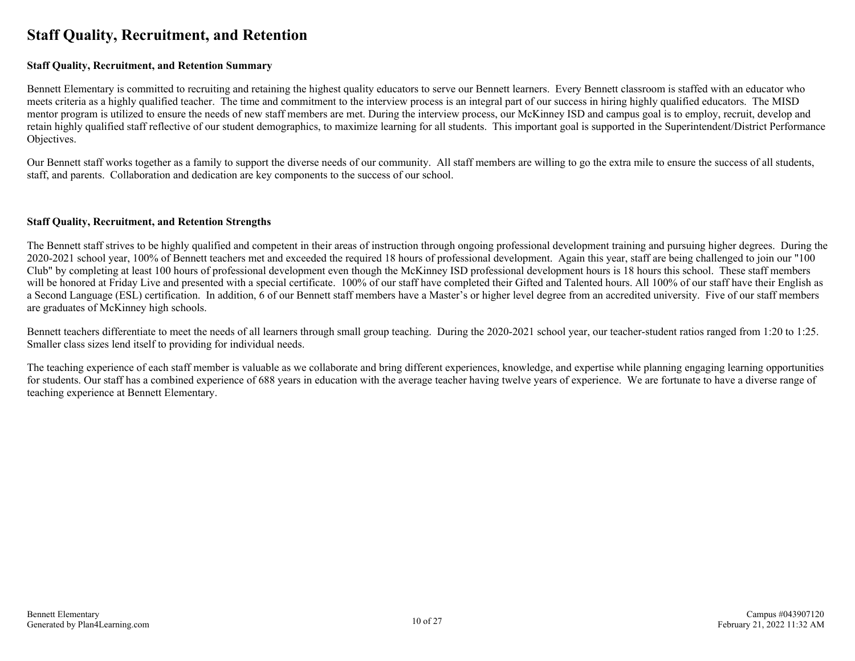### <span id="page-9-0"></span>**Staff Quality, Recruitment, and Retention**

#### **Staff Quality, Recruitment, and Retention Summary**

Bennett Elementary is committed to recruiting and retaining the highest quality educators to serve our Bennett learners. Every Bennett classroom is staffed with an educator who meets criteria as a highly qualified teacher. The time and commitment to the interview process is an integral part of our success in hiring highly qualified educators. The MISD mentor program is utilized to ensure the needs of new staff members are met. During the interview process, our McKinney ISD and campus goal is to employ, recruit, develop and retain highly qualified staff reflective of our student demographics, to maximize learning for all students. This important goal is supported in the Superintendent/District Performance Objectives.

Our Bennett staff works together as a family to support the diverse needs of our community. All staff members are willing to go the extra mile to ensure the success of all students, staff, and parents. Collaboration and dedication are key components to the success of our school.

#### **Staff Quality, Recruitment, and Retention Strengths**

The Bennett staff strives to be highly qualified and competent in their areas of instruction through ongoing professional development training and pursuing higher degrees. During the 2020-2021 school year, 100% of Bennett teachers met and exceeded the required 18 hours of professional development. Again this year, staff are being challenged to join our "100 Club" by completing at least 100 hours of professional development even though the McKinney ISD professional development hours is 18 hours this school. These staff members will be honored at Friday Live and presented with a special certificate. 100% of our staff have completed their Gifted and Talented hours. All 100% of our staff have their English as a Second Language (ESL) certification. In addition, 6 of our Bennett staff members have a Master's or higher level degree from an accredited university. Five of our staff members are graduates of McKinney high schools.

Bennett teachers differentiate to meet the needs of all learners through small group teaching. During the 2020-2021 school year, our teacher-student ratios ranged from 1:20 to 1:25. Smaller class sizes lend itself to providing for individual needs.

The teaching experience of each staff member is valuable as we collaborate and bring different experiences, knowledge, and expertise while planning engaging learning opportunities for students. Our staff has a combined experience of 688 years in education with the average teacher having twelve years of experience. We are fortunate to have a diverse range of teaching experience at Bennett Elementary.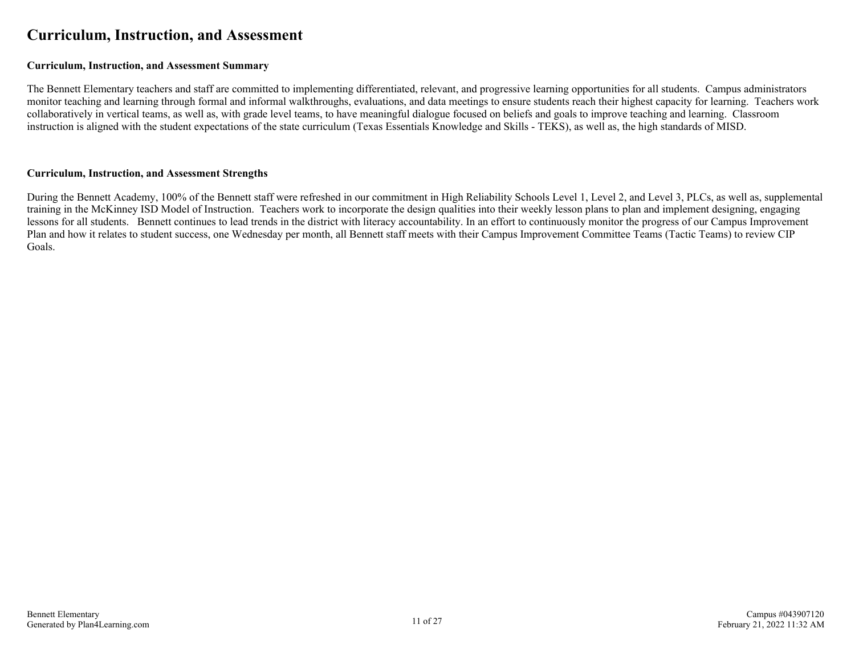### <span id="page-10-0"></span>**Curriculum, Instruction, and Assessment**

#### **Curriculum, Instruction, and Assessment Summary**

The Bennett Elementary teachers and staff are committed to implementing differentiated, relevant, and progressive learning opportunities for all students. Campus administrators monitor teaching and learning through formal and informal walkthroughs, evaluations, and data meetings to ensure students reach their highest capacity for learning. Teachers work collaboratively in vertical teams, as well as, with grade level teams, to have meaningful dialogue focused on beliefs and goals to improve teaching and learning. Classroom instruction is aligned with the student expectations of the state curriculum (Texas Essentials Knowledge and Skills - TEKS), as well as, the high standards of MISD.

#### **Curriculum, Instruction, and Assessment Strengths**

During the Bennett Academy, 100% of the Bennett staff were refreshed in our commitment in High Reliability Schools Level 1, Level 2, and Level 3, PLCs, as well as, supplemental training in the McKinney ISD Model of Instruction. Teachers work to incorporate the design qualities into their weekly lesson plans to plan and implement designing, engaging lessons for all students. Bennett continues to lead trends in the district with literacy accountability. In an effort to continuously monitor the progress of our Campus Improvement Plan and how it relates to student success, one Wednesday per month, all Bennett staff meets with their Campus Improvement Committee Teams (Tactic Teams) to review CIP Goals.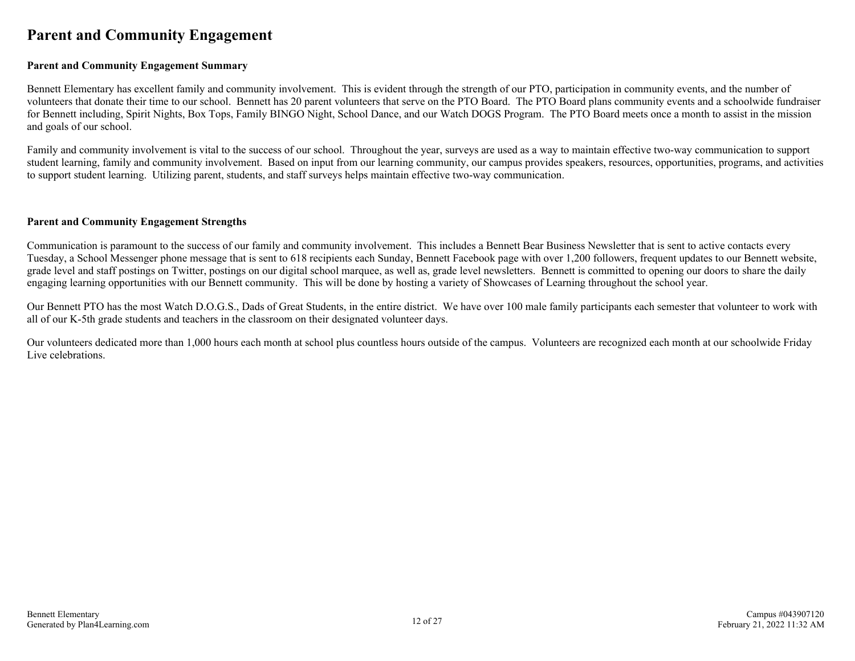### <span id="page-11-0"></span>**Parent and Community Engagement**

#### **Parent and Community Engagement Summary**

Bennett Elementary has excellent family and community involvement. This is evident through the strength of our PTO, participation in community events, and the number of volunteers that donate their time to our school. Bennett has 20 parent volunteers that serve on the PTO Board. The PTO Board plans community events and a schoolwide fundraiser for Bennett including, Spirit Nights, Box Tops, Family BINGO Night, School Dance, and our Watch DOGS Program. The PTO Board meets once a month to assist in the mission and goals of our school.

Family and community involvement is vital to the success of our school. Throughout the year, surveys are used as a way to maintain effective two-way communication to support student learning, family and community involvement. Based on input from our learning community, our campus provides speakers, resources, opportunities, programs, and activities to support student learning. Utilizing parent, students, and staff surveys helps maintain effective two-way communication.

#### **Parent and Community Engagement Strengths**

Communication is paramount to the success of our family and community involvement. This includes a Bennett Bear Business Newsletter that is sent to active contacts every Tuesday, a School Messenger phone message that is sent to 618 recipients each Sunday, Bennett Facebook page with over 1,200 followers, frequent updates to our Bennett website, grade level and staff postings on Twitter, postings on our digital school marquee, as well as, grade level newsletters. Bennett is committed to opening our doors to share the daily engaging learning opportunities with our Bennett community. This will be done by hosting a variety of Showcases of Learning throughout the school year.

Our Bennett PTO has the most Watch D.O.G.S., Dads of Great Students, in the entire district. We have over 100 male family participants each semester that volunteer to work with all of our K-5th grade students and teachers in the classroom on their designated volunteer days.

Our volunteers dedicated more than 1,000 hours each month at school plus countless hours outside of the campus. Volunteers are recognized each month at our schoolwide Friday Live celebrations.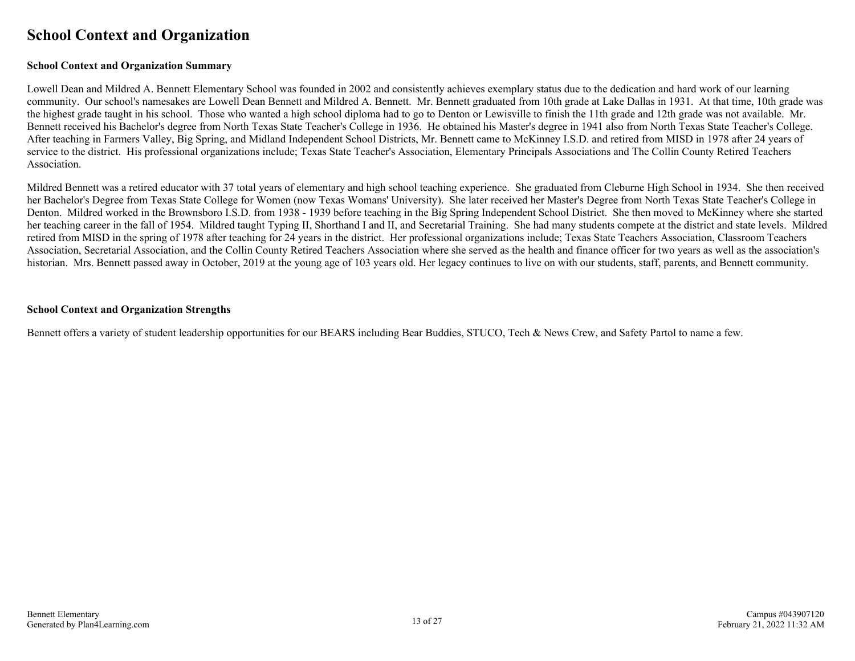### <span id="page-12-0"></span>**School Context and Organization**

#### **School Context and Organization Summary**

Lowell Dean and Mildred A. Bennett Elementary School was founded in 2002 and consistently achieves exemplary status due to the dedication and hard work of our learning community. Our school's namesakes are Lowell Dean Bennett and Mildred A. Bennett. Mr. Bennett graduated from 10th grade at Lake Dallas in 1931. At that time, 10th grade was the highest grade taught in his school. Those who wanted a high school diploma had to go to Denton or Lewisville to finish the 11th grade and 12th grade was not available. Mr. Bennett received his Bachelor's degree from North Texas State Teacher's College in 1936. He obtained his Master's degree in 1941 also from North Texas State Teacher's College. After teaching in Farmers Valley, Big Spring, and Midland Independent School Districts, Mr. Bennett came to McKinney I.S.D. and retired from MISD in 1978 after 24 years of service to the district. His professional organizations include; Texas State Teacher's Association, Elementary Principals Associations and The Collin County Retired Teachers Association.

Mildred Bennett was a retired educator with 37 total years of elementary and high school teaching experience. She graduated from Cleburne High School in 1934. She then received her Bachelor's Degree from Texas State College for Women (now Texas Womans' University). She later received her Master's Degree from North Texas State Teacher's College in Denton. Mildred worked in the Brownsboro I.S.D. from 1938 - 1939 before teaching in the Big Spring Independent School District. She then moved to McKinney where she started her teaching career in the fall of 1954. Mildred taught Typing II, Shorthand I and II, and Secretarial Training. She had many students compete at the district and state levels. Mildred retired from MISD in the spring of 1978 after teaching for 24 years in the district. Her professional organizations include; Texas State Teachers Association, Classroom Teachers Association, Secretarial Association, and the Collin County Retired Teachers Association where she served as the health and finance officer for two years as well as the association's historian. Mrs. Bennett passed away in October, 2019 at the young age of 103 years old. Her legacy continues to live on with our students, staff, parents, and Bennett community.

#### **School Context and Organization Strengths**

Bennett offers a variety of student leadership opportunities for our BEARS including Bear Buddies, STUCO, Tech & News Crew, and Safety Partol to name a few.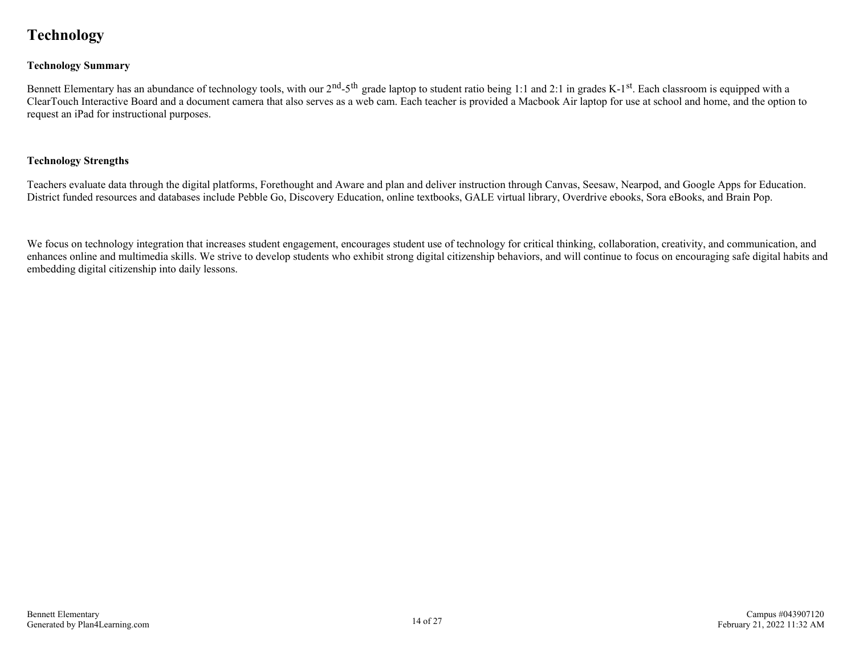## <span id="page-13-0"></span>**Technology**

#### **Technology Summary**

Bennett Elementary has an abundance of technology tools, with our  $2^{nd}$ -5<sup>th</sup> grade laptop to student ratio being 1:1 and 2:1 in grades K-1<sup>st</sup>. Each classroom is equipped with a ClearTouch Interactive Board and a document camera that also serves as a web cam. Each teacher is provided a Macbook Air laptop for use at school and home, and the option to request an iPad for instructional purposes.

#### **Technology Strengths**

Teachers evaluate data through the digital platforms, Forethought and Aware and plan and deliver instruction through Canvas, Seesaw, Nearpod, and Google Apps for Education. District funded resources and databases include Pebble Go, Discovery Education, online textbooks, GALE virtual library, Overdrive ebooks, Sora eBooks, and Brain Pop.

We focus on technology integration that increases student engagement, encourages student use of technology for critical thinking, collaboration, creativity, and communication, and enhances online and multimedia skills. We strive to develop students who exhibit strong digital citizenship behaviors, and will continue to focus on encouraging safe digital habits and embedding digital citizenship into daily lessons.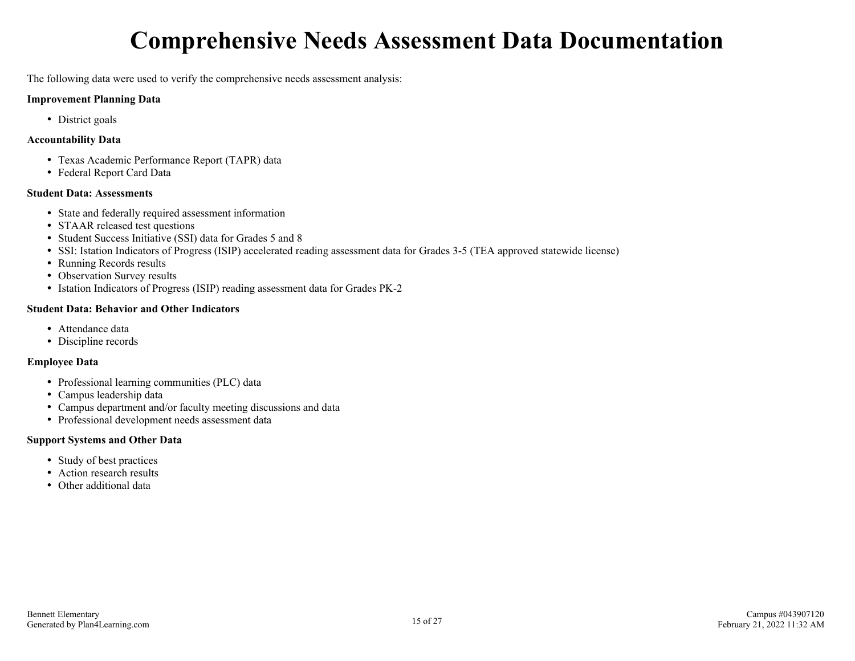## **Comprehensive Needs Assessment Data Documentation**

<span id="page-14-0"></span>The following data were used to verify the comprehensive needs assessment analysis:

#### **Improvement Planning Data**

• District goals

#### **Accountability Data**

- Texas Academic Performance Report (TAPR) data
- Federal Report Card Data

#### **Student Data: Assessments**

- State and federally required assessment information
- STAAR released test questions
- Student Success Initiative (SSI) data for Grades 5 and 8
- SSI: Istation Indicators of Progress (ISIP) accelerated reading assessment data for Grades 3-5 (TEA approved statewide license)
- Running Records results
- Observation Survey results
- Istation Indicators of Progress (ISIP) reading assessment data for Grades PK-2

#### **Student Data: Behavior and Other Indicators**

- Attendance data
- Discipline records

#### **Employee Data**

- Professional learning communities (PLC) data
- Campus leadership data
- Campus department and/or faculty meeting discussions and data
- Professional development needs assessment data

#### **Support Systems and Other Data**

- Study of best practices
- Action research results
- Other additional data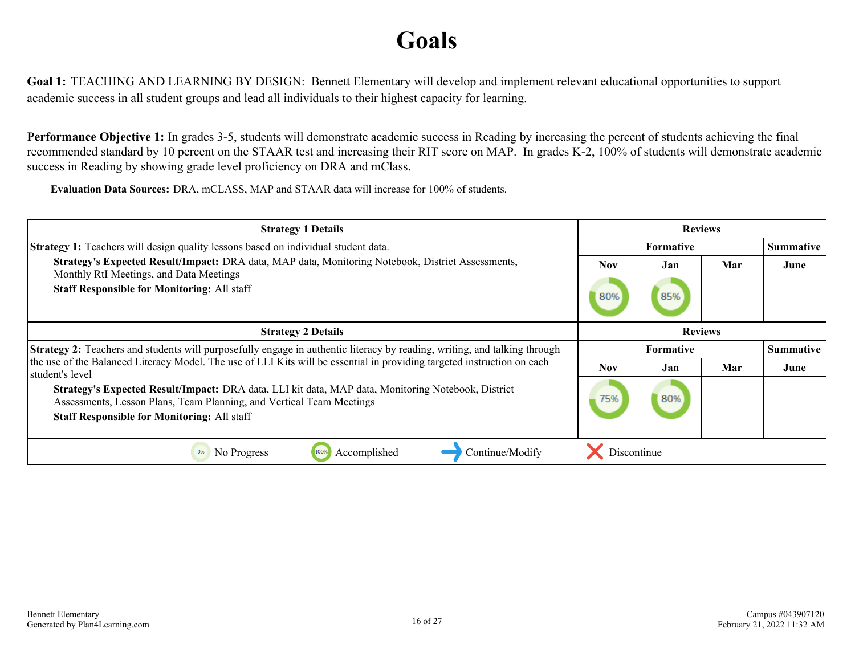## **Goals**

<span id="page-15-0"></span>**Goal 1:** TEACHING AND LEARNING BY DESIGN: Bennett Elementary will develop and implement relevant educational opportunities to support academic success in all student groups and lead all individuals to their highest capacity for learning.

**Performance Objective 1:** In grades 3-5, students will demonstrate academic success in Reading by increasing the percent of students achieving the final recommended standard by 10 percent on the STAAR test and increasing their RIT score on MAP. In grades K-2, 100% of students will demonstrate academic success in Reading by showing grade level proficiency on DRA and mClass.

**Evaluation Data Sources:** DRA, mCLASS, MAP and STAAR data will increase for 100% of students.

| <b>Strategy 1 Details</b>                                                                                                                                                                                                        | <b>Reviews</b>   |           |     |                  |
|----------------------------------------------------------------------------------------------------------------------------------------------------------------------------------------------------------------------------------|------------------|-----------|-----|------------------|
| <b>Strategy 1:</b> Teachers will design quality lessons based on individual student data.                                                                                                                                        | <b>Formative</b> |           |     | <b>Summative</b> |
| Strategy's Expected Result/Impact: DRA data, MAP data, Monitoring Notebook, District Assessments,                                                                                                                                | <b>Nov</b>       | Jan       | Mar | June             |
| Monthly RtI Meetings, and Data Meetings<br><b>Staff Responsible for Monitoring: All staff</b>                                                                                                                                    | 80%              | 85%       |     |                  |
| <b>Strategy 2 Details</b>                                                                                                                                                                                                        | <b>Reviews</b>   |           |     |                  |
| <b>Strategy 2:</b> Teachers and students will purposefully engage in authentic literacy by reading, writing, and talking through                                                                                                 |                  | Formative |     | <b>Summative</b> |
| the use of the Balanced Literacy Model. The use of LLI Kits will be essential in providing targeted instruction on each<br>student's level                                                                                       | <b>Nov</b>       | Jan       | Mar | June             |
| Strategy's Expected Result/Impact: DRA data, LLI kit data, MAP data, Monitoring Notebook, District<br>Assessments, Lesson Plans, Team Planning, and Vertical Team Meetings<br><b>Staff Responsible for Monitoring: All staff</b> | 75%              | 80%       |     |                  |
| Continue/Modify<br>Accomplished<br>0%<br>No Progress<br>100%                                                                                                                                                                     | Discontinue      |           |     |                  |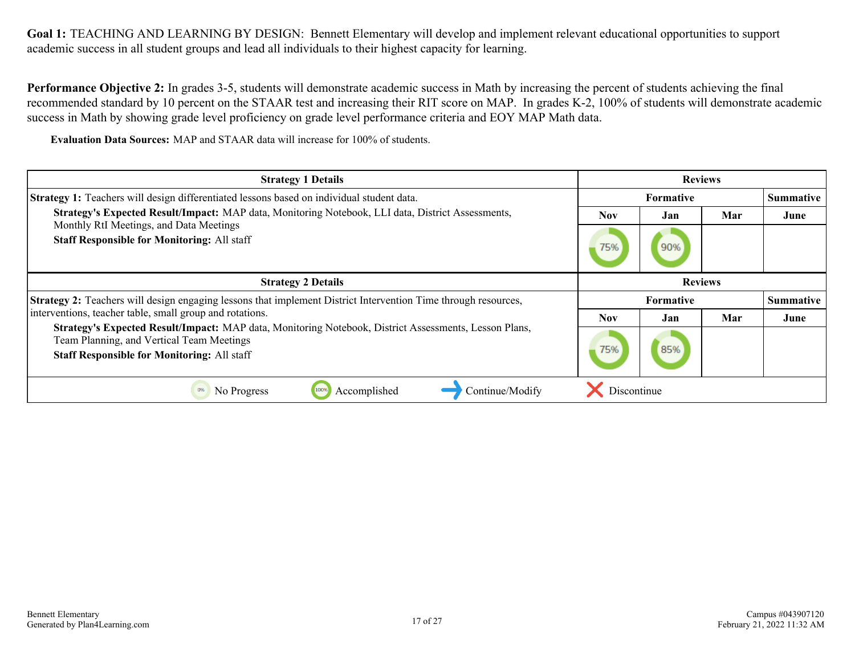**Performance Objective 2:** In grades 3-5, students will demonstrate academic success in Math by increasing the percent of students achieving the final recommended standard by 10 percent on the STAAR test and increasing their RIT score on MAP. In grades K-2, 100% of students will demonstrate academic success in Math by showing grade level proficiency on grade level performance criteria and EOY MAP Math data.

**Evaluation Data Sources:** MAP and STAAR data will increase for 100% of students.

| <b>Strategy 1 Details</b>                                                                                                                                                                                |                | <b>Reviews</b>   |     |                  |
|----------------------------------------------------------------------------------------------------------------------------------------------------------------------------------------------------------|----------------|------------------|-----|------------------|
| <b>Strategy 1:</b> Teachers will design differentiated lessons based on individual student data.                                                                                                         |                | <b>Formative</b> |     | <b>Summative</b> |
| Strategy's Expected Result/Impact: MAP data, Monitoring Notebook, LLI data, District Assessments,                                                                                                        | Nov            | Jan              | Mar | June             |
| Monthly RtI Meetings, and Data Meetings<br><b>Staff Responsible for Monitoring: All staff</b>                                                                                                            | 75%            | 90%              |     |                  |
| <b>Strategy 2 Details</b>                                                                                                                                                                                | <b>Reviews</b> |                  |     |                  |
| <b>Strategy 2:</b> Teachers will design engaging lessons that implement District Intervention Time through resources,                                                                                    |                | <b>Formative</b> |     | <b>Summative</b> |
| interventions, teacher table, small group and rotations.                                                                                                                                                 | Nov            | Jan              | Mar | June             |
| Strategy's Expected Result/Impact: MAP data, Monitoring Notebook, District Assessments, Lesson Plans,<br>Team Planning, and Vertical Team Meetings<br><b>Staff Responsible for Monitoring: All staff</b> | 75%            | 85%              |     |                  |
| Continue/Modify<br>Accomplished<br>0%<br>No Progress<br>100%                                                                                                                                             | Discontinue    |                  |     |                  |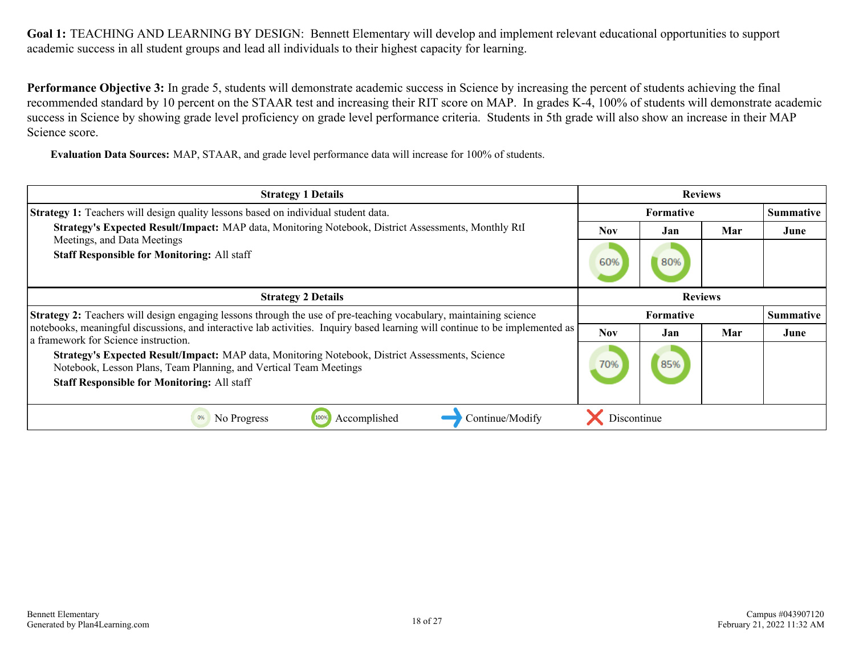**Performance Objective 3:** In grade 5, students will demonstrate academic success in Science by increasing the percent of students achieving the final recommended standard by 10 percent on the STAAR test and increasing their RIT score on MAP. In grades K-4, 100% of students will demonstrate academic success in Science by showing grade level proficiency on grade level performance criteria. Students in 5th grade will also show an increase in their MAP Science score.

**Evaluation Data Sources:** MAP, STAAR, and grade level performance data will increase for 100% of students.

| <b>Strategy 1 Details</b>                                                                                                                                                                                                  |                  | <b>Reviews</b> |     |                  |
|----------------------------------------------------------------------------------------------------------------------------------------------------------------------------------------------------------------------------|------------------|----------------|-----|------------------|
| <b>Strategy 1:</b> Teachers will design quality lessons based on individual student data.                                                                                                                                  | <b>Formative</b> |                |     | <b>Summative</b> |
| Strategy's Expected Result/Impact: MAP data, Monitoring Notebook, District Assessments, Monthly RtI<br>Meetings, and Data Meetings                                                                                         | <b>Nov</b>       | Jan            | Mar | June             |
| <b>Staff Responsible for Monitoring: All staff</b>                                                                                                                                                                         | 60%              | 80%            |     |                  |
| <b>Strategy 2 Details</b>                                                                                                                                                                                                  | <b>Reviews</b>   |                |     |                  |
| <b>Strategy 2:</b> Teachers will design engaging lessons through the use of pre-teaching vocabulary, maintaining science                                                                                                   |                  | Formative      |     | <b>Summative</b> |
| notebooks, meaningful discussions, and interactive lab activities. Inquiry based learning will continue to be implemented as<br>a framework for Science instruction.                                                       | <b>Nov</b>       | Jan            | Mar | June             |
| Strategy's Expected Result/Impact: MAP data, Monitoring Notebook, District Assessments, Science<br>Notebook, Lesson Plans, Team Planning, and Vertical Team Meetings<br><b>Staff Responsible for Monitoring: All staff</b> | 70%              | 85%            |     |                  |
| Continue/Modify<br>No Progress<br>Accomplished<br>0%<br>100%                                                                                                                                                               | Discontinue      |                |     |                  |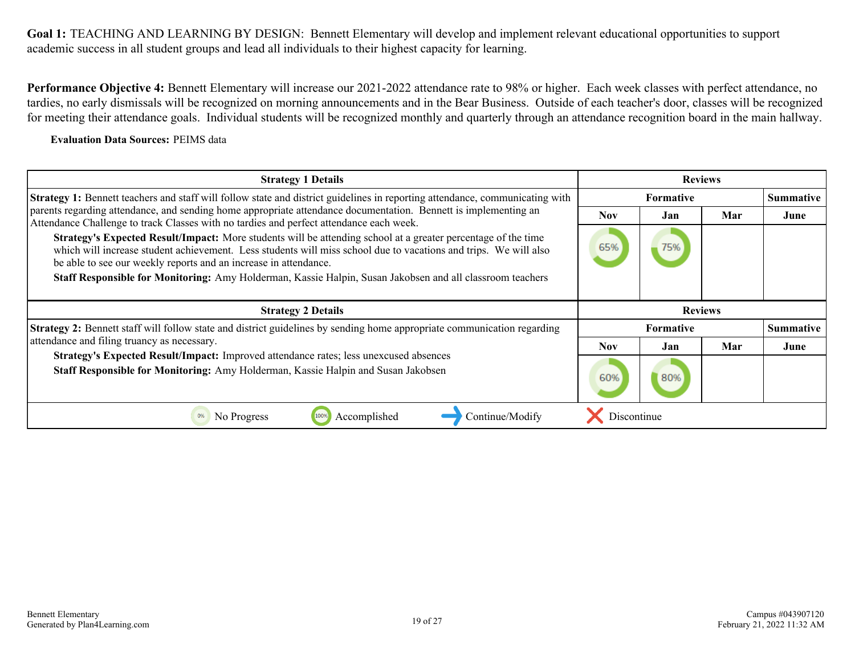**Performance Objective 4:** Bennett Elementary will increase our 2021-2022 attendance rate to 98% or higher. Each week classes with perfect attendance, no tardies, no early dismissals will be recognized on morning announcements and in the Bear Business. Outside of each teacher's door, classes will be recognized for meeting their attendance goals. Individual students will be recognized monthly and quarterly through an attendance recognition board in the main hallway.

#### **Evaluation Data Sources:** PEIMS data

| <b>Strategy 1 Details</b>                                                                                                                                                                                                                                                                                    | <b>Reviews</b> |                  |     |                  |
|--------------------------------------------------------------------------------------------------------------------------------------------------------------------------------------------------------------------------------------------------------------------------------------------------------------|----------------|------------------|-----|------------------|
| <b>Strategy 1:</b> Bennett teachers and staff will follow state and district guidelines in reporting attendance, communicating with                                                                                                                                                                          |                | <b>Formative</b> |     | <b>Summative</b> |
| parents regarding attendance, and sending home appropriate attendance documentation. Bennett is implementing an<br>Attendance Challenge to track Classes with no tardies and perfect attendance each week.                                                                                                   | <b>Nov</b>     | Jan              | Mar | June             |
| <b>Strategy's Expected Result/Impact:</b> More students will be attending school at a greater percentage of the time<br>which will increase student achievement. Less students will miss school due to vacations and trips. We will also<br>be able to see our weekly reports and an increase in attendance. | 65%            | 75%              |     |                  |
| Staff Responsible for Monitoring: Amy Holderman, Kassie Halpin, Susan Jakobsen and all classroom teachers                                                                                                                                                                                                    |                |                  |     |                  |
|                                                                                                                                                                                                                                                                                                              |                |                  |     |                  |
|                                                                                                                                                                                                                                                                                                              |                |                  |     |                  |
| <b>Strategy 2 Details</b>                                                                                                                                                                                                                                                                                    |                | <b>Reviews</b>   |     |                  |
| <b>Strategy 2:</b> Bennett staff will follow state and district guidelines by sending home appropriate communication regarding                                                                                                                                                                               |                | <b>Formative</b> |     | <b>Summative</b> |
| attendance and filing truancy as necessary.                                                                                                                                                                                                                                                                  | Nov.           | Jan              | Mar | June             |
| Strategy's Expected Result/Impact: Improved attendance rates; less unexcused absences<br>Staff Responsible for Monitoring: Amy Holderman, Kassie Halpin and Susan Jakobsen                                                                                                                                   | 60%            | 80%              |     |                  |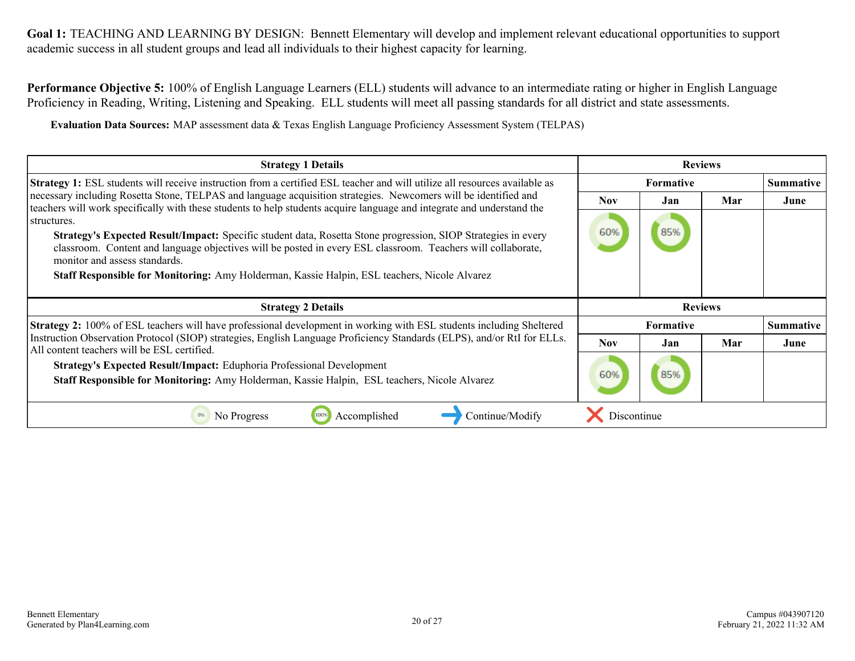**Performance Objective 5:** 100% of English Language Learners (ELL) students will advance to an intermediate rating or higher in English Language Proficiency in Reading, Writing, Listening and Speaking. ELL students will meet all passing standards for all district and state assessments.

**Evaluation Data Sources:** MAP assessment data & Texas English Language Proficiency Assessment System (TELPAS)

| <b>Strategy 1 Details</b>                                                                                                                                                                                                                                             | <b>Reviews</b> |                  |     |                  |
|-----------------------------------------------------------------------------------------------------------------------------------------------------------------------------------------------------------------------------------------------------------------------|----------------|------------------|-----|------------------|
| <b>Strategy 1:</b> ESL students will receive instruction from a certified ESL teacher and will utilize all resources available as                                                                                                                                     |                | <b>Formative</b> |     |                  |
| necessary including Rosetta Stone, TELPAS and language acquisition strategies. Newcomers will be identified and<br>teachers will work specifically with these students to help students acquire language and integrate and understand the                             | <b>Nov</b>     | Jan.             | Mar | June             |
| structures.                                                                                                                                                                                                                                                           |                |                  |     |                  |
| <b>Strategy's Expected Result/Impact:</b> Specific student data, Rosetta Stone progression, SIOP Strategies in every<br>classroom. Content and language objectives will be posted in every ESL classroom. Teachers will collaborate,<br>monitor and assess standards. | 60%            | 85%              |     |                  |
| Staff Responsible for Monitoring: Amy Holderman, Kassie Halpin, ESL teachers, Nicole Alvarez                                                                                                                                                                          |                |                  |     |                  |
|                                                                                                                                                                                                                                                                       |                |                  |     |                  |
|                                                                                                                                                                                                                                                                       |                |                  |     |                  |
| <b>Strategy 2 Details</b>                                                                                                                                                                                                                                             |                | <b>Reviews</b>   |     |                  |
| <b>Strategy 2:</b> 100% of ESL teachers will have professional development in working with ESL students including Sheltered                                                                                                                                           |                | <b>Formative</b> |     | <b>Summative</b> |
| Instruction Observation Protocol (SIOP) strategies, English Language Proficiency Standards (ELPS), and/or RtI for ELLs.<br>All content teachers will be ESL certified.                                                                                                | <b>Nov</b>     | Jan              | Mar | June             |
| <b>Strategy's Expected Result/Impact:</b> Eduphoria Professional Development                                                                                                                                                                                          |                |                  |     |                  |
| Staff Responsible for Monitoring: Amy Holderman, Kassie Halpin, ESL teachers, Nicole Alvarez                                                                                                                                                                          | 60%            | 85%              |     |                  |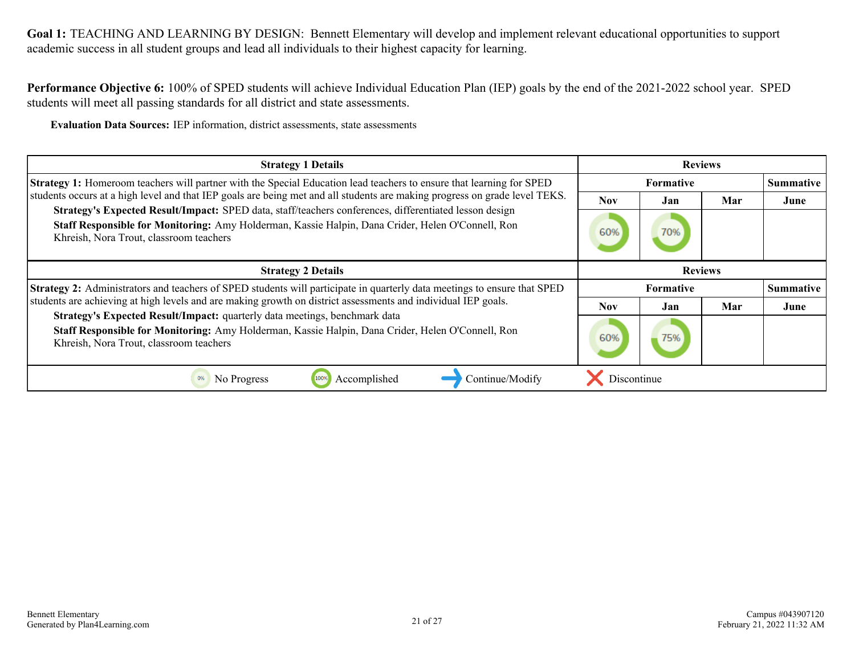**Performance Objective 6:** 100% of SPED students will achieve Individual Education Plan (IEP) goals by the end of the 2021-2022 school year. SPED students will meet all passing standards for all district and state assessments.

**Evaluation Data Sources:** IEP information, district assessments, state assessments

| <b>Strategy 1 Details</b>                                                                                                                                                                                                                              |                  | <b>Reviews</b>   |     |                  |  |
|--------------------------------------------------------------------------------------------------------------------------------------------------------------------------------------------------------------------------------------------------------|------------------|------------------|-----|------------------|--|
| Strategy 1: Homeroom teachers will partner with the Special Education lead teachers to ensure that learning for SPED                                                                                                                                   | <b>Formative</b> |                  |     | <b>Summative</b> |  |
| students occurs at a high level and that IEP goals are being met and all students are making progress on grade level TEKS.                                                                                                                             | <b>Nov</b>       | Jan              | Mar | June             |  |
| Strategy's Expected Result/Impact: SPED data, staff/teachers conferences, differentiated lesson design<br>Staff Responsible for Monitoring: Amy Holderman, Kassie Halpin, Dana Crider, Helen O'Connell, Ron<br>Khreish, Nora Trout, classroom teachers | 60%              | 70%              |     |                  |  |
| <b>Strategy 2 Details</b>                                                                                                                                                                                                                              | <b>Reviews</b>   |                  |     |                  |  |
| Strategy 2: Administrators and teachers of SPED students will participate in quarterly data meetings to ensure that SPED                                                                                                                               |                  | <b>Formative</b> |     | <b>Summative</b> |  |
| students are achieving at high levels and are making growth on district assessments and individual IEP goals.                                                                                                                                          | Nov.             | Jan              | Mar | June             |  |
| Strategy's Expected Result/Impact: quarterly data meetings, benchmark data<br>Staff Responsible for Monitoring: Amy Holderman, Kassie Halpin, Dana Crider, Helen O'Connell, Ron<br>Khreish, Nora Trout, classroom teachers                             | 60%              | 75%              |     |                  |  |
| 0%<br>No Progress<br>Continue/Modify<br>Accomplished                                                                                                                                                                                                   | Discontinue      |                  |     |                  |  |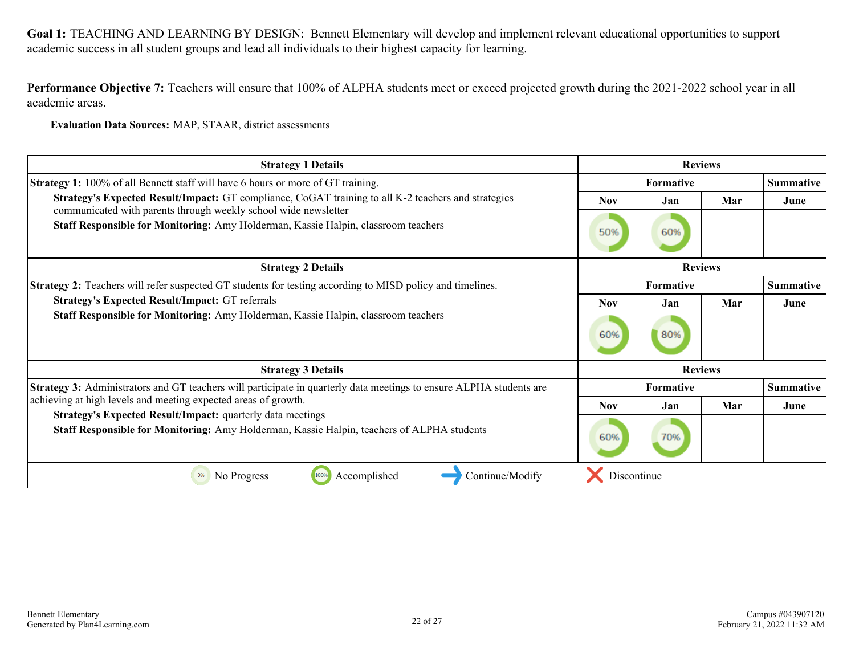**Performance Objective 7:** Teachers will ensure that 100% of ALPHA students meet or exceed projected growth during the 2021-2022 school year in all academic areas.

**Evaluation Data Sources:** MAP, STAAR, district assessments

| <b>Strategy 1 Details</b>                                                                                                                                              | <b>Reviews</b>   |                  |                |                  |
|------------------------------------------------------------------------------------------------------------------------------------------------------------------------|------------------|------------------|----------------|------------------|
| Strategy 1: 100% of all Bennett staff will have 6 hours or more of GT training.                                                                                        |                  | <b>Formative</b> |                | <b>Summative</b> |
| Strategy's Expected Result/Impact: GT compliance, CoGAT training to all K-2 teachers and strategies<br>communicated with parents through weekly school wide newsletter | <b>Nov</b>       | Jan              | Mar            | June             |
| Staff Responsible for Monitoring: Amy Holderman, Kassie Halpin, classroom teachers                                                                                     | 50%              | 60%              |                |                  |
| <b>Strategy 2 Details</b>                                                                                                                                              | <b>Reviews</b>   |                  |                |                  |
| <b>Strategy 2:</b> Teachers will refer suspected GT students for testing according to MISD policy and timelines.                                                       | <b>Formative</b> |                  |                | <b>Summative</b> |
| <b>Strategy's Expected Result/Impact: GT referrals</b>                                                                                                                 | <b>Nov</b>       | Jan              | Mar            | June             |
| Staff Responsible for Monitoring: Amy Holderman, Kassie Halpin, classroom teachers                                                                                     | 60%              | 80%              |                |                  |
| <b>Strategy 3 Details</b>                                                                                                                                              |                  |                  | <b>Reviews</b> |                  |
| <b>Strategy 3:</b> Administrators and GT teachers will participate in quarterly data meetings to ensure ALPHA students are                                             |                  | Formative        |                | <b>Summative</b> |
| achieving at high levels and meeting expected areas of growth.                                                                                                         | <b>Nov</b>       | Jan              | Mar            | June             |
| <b>Strategy's Expected Result/Impact:</b> quarterly data meetings<br>Staff Responsible for Monitoring: Amy Holderman, Kassie Halpin, teachers of ALPHA students        | 60%              | 70%              |                |                  |
| Accomplished<br>0%<br>No Progress<br>1009<br>Continue/Modify                                                                                                           | Discontinue      |                  |                |                  |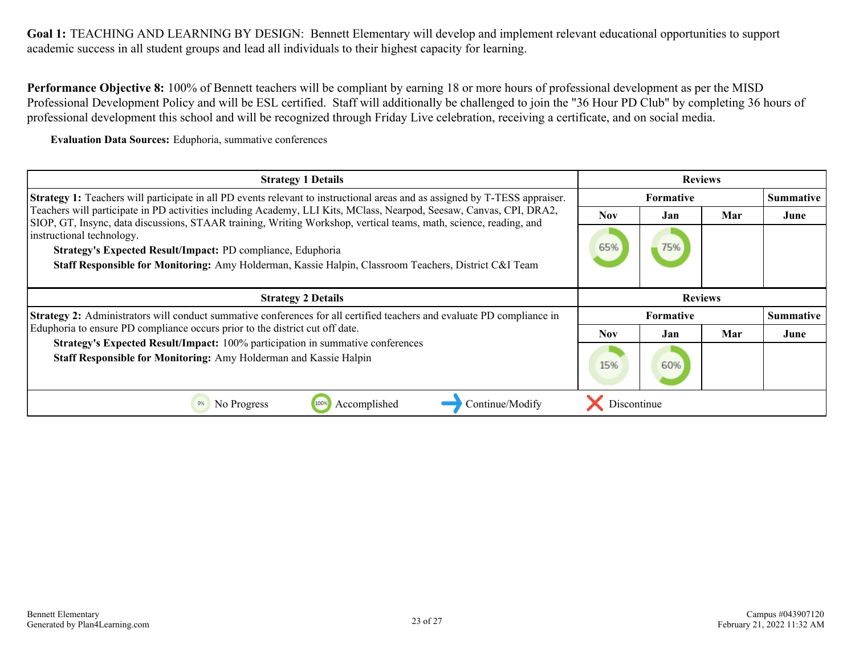**Performance Objective 8:** 100% of Bennett teachers will be compliant by earning 18 or more hours of professional development as per the MISD Professional Development Policy and will be ESL certified. Staff will additionally be challenged to join the "36 Hour PD Club" by completing 36 hours of professional development this school and will be recognized through Friday Live celebration, receiving a certificate, and on social media.

**Evaluation Data Sources:** Eduphoria, summative conferences

| <b>Strategy 1 Details</b>                                                                                                                                                                                                                | <b>Reviews</b> |                  |     |                  |
|------------------------------------------------------------------------------------------------------------------------------------------------------------------------------------------------------------------------------------------|----------------|------------------|-----|------------------|
| <b>Strategy 1:</b> Teachers will participate in all PD events relevant to instructional areas and as assigned by T-TESS appraiser.                                                                                                       |                | <b>Formative</b> |     |                  |
| Teachers will participate in PD activities including Academy, LLI Kits, MClass, Nearpod, Seesaw, Canvas, CPI, DRA2,<br>SIOP, GT, Insync, data discussions, STAAR training, Writing Workshop, vertical teams, math, science, reading, and | Nov            | Jan              | Mar | June             |
| instructional technology.                                                                                                                                                                                                                |                |                  |     |                  |
| Strategy's Expected Result/Impact: PD compliance, Eduphoria                                                                                                                                                                              | 65%            | 75%              |     |                  |
| Staff Responsible for Monitoring: Amy Holderman, Kassie Halpin, Classroom Teachers, District C&I Team                                                                                                                                    |                |                  |     |                  |
|                                                                                                                                                                                                                                          |                |                  |     |                  |
| <b>Strategy 2 Details</b>                                                                                                                                                                                                                |                | <b>Reviews</b>   |     |                  |
| Strategy 2: Administrators will conduct summative conferences for all certified teachers and evaluate PD compliance in                                                                                                                   |                | <b>Formative</b> |     | <b>Summative</b> |
| Eduphoria to ensure PD compliance occurs prior to the district cut off date.                                                                                                                                                             | <b>Nov</b>     | Jan              | Mar | June             |
| Strategy's Expected Result/Impact: 100% participation in summative conferences                                                                                                                                                           |                |                  |     |                  |
| Staff Responsible for Monitoring: Amy Holderman and Kassie Halpin                                                                                                                                                                        | 15%            | 60%              |     |                  |
|                                                                                                                                                                                                                                          |                |                  |     |                  |
| Continue/Modify<br>0%<br>No Progress<br>Accomplished                                                                                                                                                                                     | Discontinue    |                  |     |                  |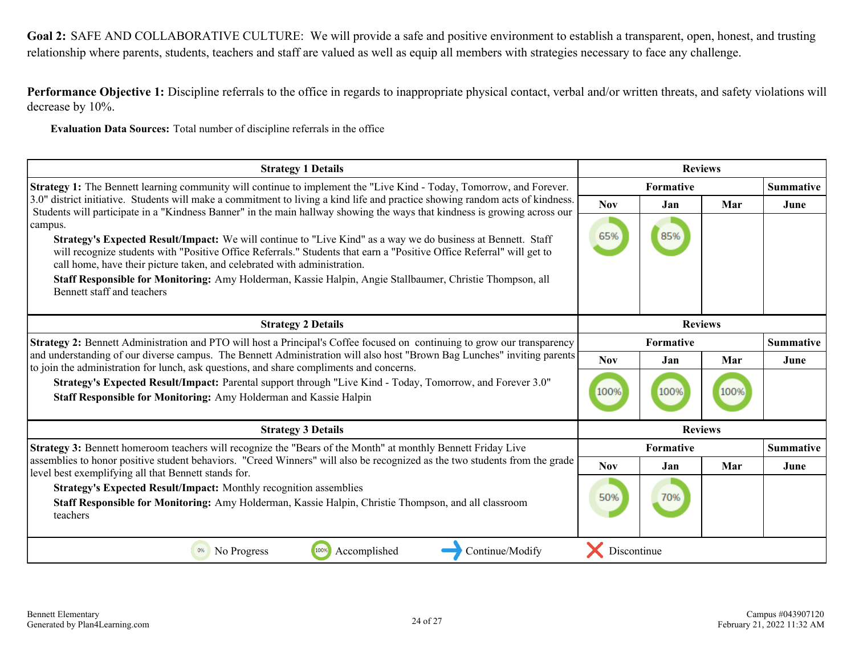<span id="page-23-0"></span>**Goal 2:** SAFE AND COLLABORATIVE CULTURE: We will provide a safe and positive environment to establish a transparent, open, honest, and trusting relationship where parents, students, teachers and staff are valued as well as equip all members with strategies necessary to face any challenge.

**Performance Objective 1:** Discipline referrals to the office in regards to inappropriate physical contact, verbal and/or written threats, and safety violations will decrease by 10%.

**Evaluation Data Sources:** Total number of discipline referrals in the office

| <b>Strategy 1 Details</b>                                                                                                                                                          | <b>Reviews</b> |                  |      |                  |
|------------------------------------------------------------------------------------------------------------------------------------------------------------------------------------|----------------|------------------|------|------------------|
| <b>Strategy 1:</b> The Bennett learning community will continue to implement the "Live Kind - Today, Tomorrow, and Forever.                                                        |                | Formative        |      | <b>Summative</b> |
| 3.0" district initiative. Students will make a commitment to living a kind life and practice showing random acts of kindness.                                                      | <b>Nov</b>     | Jan              | Mar  | June             |
| Students will participate in a "Kindness Banner" in the main hallway showing the ways that kindness is growing across our<br>campus.                                               |                |                  |      |                  |
| Strategy's Expected Result/Impact: We will continue to "Live Kind" as a way we do business at Bennett. Staff                                                                       | 65%            | 85%              |      |                  |
| will recognize students with "Positive Office Referrals." Students that earn a "Positive Office Referral" will get to                                                              |                |                  |      |                  |
| call home, have their picture taken, and celebrated with administration.                                                                                                           |                |                  |      |                  |
| Staff Responsible for Monitoring: Amy Holderman, Kassie Halpin, Angie Stallbaumer, Christie Thompson, all<br>Bennett staff and teachers                                            |                |                  |      |                  |
|                                                                                                                                                                                    |                |                  |      |                  |
| <b>Strategy 2 Details</b>                                                                                                                                                          |                | <b>Reviews</b>   |      |                  |
| Strategy 2: Bennett Administration and PTO will host a Principal's Coffee focused on continuing to grow our transparency                                                           |                | Formative        |      | <b>Summative</b> |
| and understanding of our diverse campus. The Bennett Administration will also host "Brown Bag Lunches" inviting parents                                                            | <b>Nov</b>     | Jan              | Mar  | June             |
| to join the administration for lunch, ask questions, and share compliments and concerns.                                                                                           |                |                  |      |                  |
| Strategy's Expected Result/Impact: Parental support through "Live Kind - Today, Tomorrow, and Forever 3.0"                                                                         | 100%           | 100%             | 100% |                  |
| Staff Responsible for Monitoring: Amy Holderman and Kassie Halpin                                                                                                                  |                |                  |      |                  |
| <b>Strategy 3 Details</b>                                                                                                                                                          |                | <b>Reviews</b>   |      |                  |
| Strategy 3: Bennett homeroom teachers will recognize the "Bears of the Month" at monthly Bennett Friday Live                                                                       |                | <b>Formative</b> |      | <b>Summative</b> |
| assemblies to honor positive student behaviors. "Creed Winners" will also be recognized as the two students from the grade<br>level best exemplifying all that Bennett stands for. | <b>Nov</b>     | Jan              | Mar  | June             |
| Strategy's Expected Result/Impact: Monthly recognition assemblies                                                                                                                  |                |                  |      |                  |
| Staff Responsible for Monitoring: Amy Holderman, Kassie Halpin, Christie Thompson, and all classroom                                                                               | 50%            | 70%              |      |                  |
| teachers                                                                                                                                                                           |                |                  |      |                  |
|                                                                                                                                                                                    |                |                  |      |                  |
| No Progress<br>100%<br>Accomplished<br>Continue/Modify<br>0%                                                                                                                       | Discontinue    |                  |      |                  |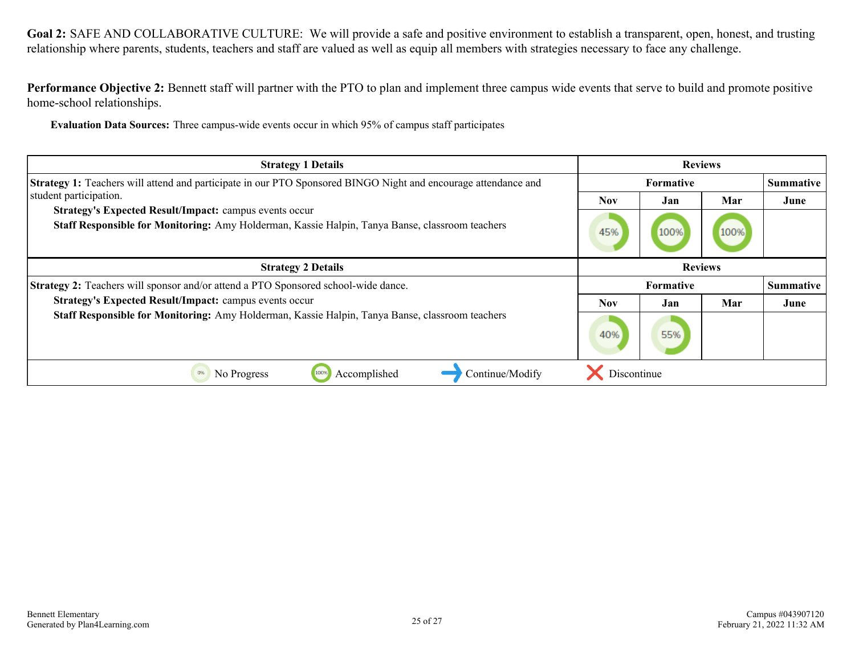Goal 2: SAFE AND COLLABORATIVE CULTURE: We will provide a safe and positive environment to establish a transparent, open, honest, and trusting relationship where parents, students, teachers and staff are valued as well as equip all members with strategies necessary to face any challenge.

**Performance Objective 2:** Bennett staff will partner with the PTO to plan and implement three campus wide events that serve to build and promote positive home-school relationships.

**Evaluation Data Sources:** Three campus-wide events occur in which 95% of campus staff participates

| <b>Strategy 1 Details</b>                                                                                                                                        | <b>Reviews</b> |                  |      |                  |
|------------------------------------------------------------------------------------------------------------------------------------------------------------------|----------------|------------------|------|------------------|
| Strategy 1: Teachers will attend and participate in our PTO Sponsored BINGO Night and encourage attendance and                                                   | Formative      |                  |      | <b>Summative</b> |
| student participation.                                                                                                                                           | <b>Nov</b>     | Jan              | Mar  | June             |
| <b>Strategy's Expected Result/Impact: campus events occur</b><br>Staff Responsible for Monitoring: Amy Holderman, Kassie Halpin, Tanya Banse, classroom teachers | 45%            | 100%             | 100% |                  |
| <b>Strategy 2 Details</b>                                                                                                                                        | <b>Reviews</b> |                  |      |                  |
| <b>Strategy 2:</b> Teachers will sponsor and/or attend a PTO Sponsored school-wide dance.                                                                        |                | <b>Formative</b> |      | <b>Summative</b> |
| Strategy's Expected Result/Impact: campus events occur                                                                                                           | <b>Nov</b>     | Jan              | Mar  | June             |
| Staff Responsible for Monitoring: Amy Holderman, Kassie Halpin, Tanya Banse, classroom teachers                                                                  | 40%            | 55%              |      |                  |
| 0%<br>Accomplished<br>Continue/Modify<br>No Progress<br>100%                                                                                                     | Discontinue    |                  |      |                  |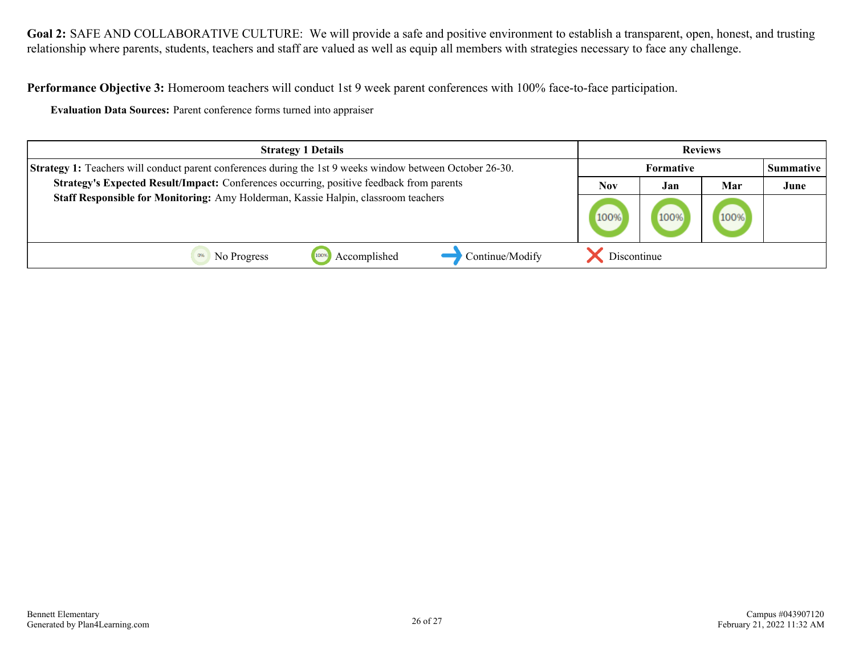**Goal 2:** SAFE AND COLLABORATIVE CULTURE: We will provide a safe and positive environment to establish a transparent, open, honest, and trusting relationship where parents, students, teachers and staff are valued as well as equip all members with strategies necessary to face any challenge.

**Performance Objective 3:** Homeroom teachers will conduct 1st 9 week parent conferences with 100% face-to-face participation.

**Evaluation Data Sources:** Parent conference forms turned into appraiser

| <b>Strategy 1 Details</b>                                                                                        | <b>Reviews</b> |                  |      |                  |
|------------------------------------------------------------------------------------------------------------------|----------------|------------------|------|------------------|
| <b>Strategy 1:</b> Teachers will conduct parent conferences during the 1st 9 weeks window between October 26-30. |                | <b>Formative</b> |      | <b>Summative</b> |
| Strategy's Expected Result/Impact: Conferences occurring, positive feedback from parents                         | Nov            | Jan              | Mar  | June             |
| Staff Responsible for Monitoring: Amy Holderman, Kassie Halpin, classroom teachers                               |                | 100%             | 100% |                  |
| Continue/Modify<br>1009<br>Accomplished<br>No Progress                                                           | Discontinue    |                  |      |                  |